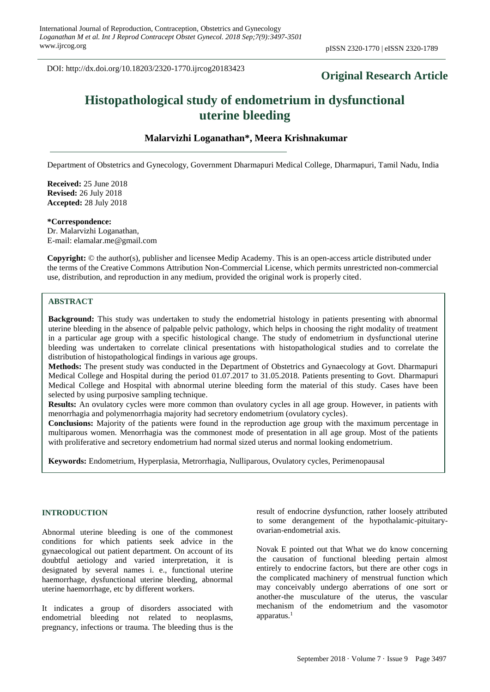DOI: http://dx.doi.org/10.18203/2320-1770.ijrcog20183423

# **Original Research Article**

# **Histopathological study of endometrium in dysfunctional uterine bleeding**

# **Malarvizhi Loganathan\*, Meera Krishnakumar**

Department of Obstetrics and Gynecology, Government Dharmapuri Medical College, Dharmapuri, Tamil Nadu, India

**Received:** 25 June 2018 **Revised:** 26 July 2018 **Accepted:** 28 July 2018

#### **\*Correspondence:**

Dr. Malarvizhi Loganathan, E-mail: elamalar.me@gmail.com

**Copyright:** © the author(s), publisher and licensee Medip Academy. This is an open-access article distributed under the terms of the Creative Commons Attribution Non-Commercial License, which permits unrestricted non-commercial use, distribution, and reproduction in any medium, provided the original work is properly cited.

#### **ABSTRACT**

**Background:** This study was undertaken to study the endometrial histology in patients presenting with abnormal uterine bleeding in the absence of palpable pelvic pathology, which helps in choosing the right modality of treatment in a particular age group with a specific histological change. The study of endometrium in dysfunctional uterine bleeding was undertaken to correlate clinical presentations with histopathological studies and to correlate the distribution of histopathological findings in various age groups.

**Methods:** The present study was conducted in the Department of Obstetrics and Gynaecology at Govt. Dharmapuri Medical College and Hospital during the period 01.07.2017 to 31.05.2018. Patients presenting to Govt. Dharmapuri Medical College and Hospital with abnormal uterine bleeding form the material of this study. Cases have been selected by using purposive sampling technique.

**Results:** An ovulatory cycles were more common than ovulatory cycles in all age group. However, in patients with menorrhagia and polymenorrhagia majority had secretory endometrium (ovulatory cycles).

**Conclusions:** Majority of the patients were found in the reproduction age group with the maximum percentage in multiparous women. Menorrhagia was the commonest mode of presentation in all age group. Most of the patients with proliferative and secretory endometrium had normal sized uterus and normal looking endometrium.

**Keywords:** Endometrium, Hyperplasia, Metrorrhagia, Nulliparous, Ovulatory cycles, Perimenopausal

#### **INTRODUCTION**

Abnormal uterine bleeding is one of the commonest conditions for which patients seek advice in the gynaecological out patient department. On account of its doubtful aetiology and varied interpretation, it is designated by several names i. e., functional uterine haemorrhage, dysfunctional uterine bleeding, abnormal uterine haemorrhage, etc by different workers.

It indicates a group of disorders associated with endometrial bleeding not related to neoplasms, pregnancy, infections or trauma. The bleeding thus is the

result of endocrine dysfunction, rather loosely attributed to some derangement of the hypothalamic-pituitaryovarian-endometrial axis.

Novak E pointed out that What we do know concerning the causation of functional bleeding pertain almost entirely to endocrine factors, but there are other cogs in the complicated machinery of menstrual function which may conceivably undergo aberrations of one sort or another-the musculature of the uterus, the vascular mechanism of the endometrium and the vasomotor apparatus. $<sup>1</sup>$ </sup>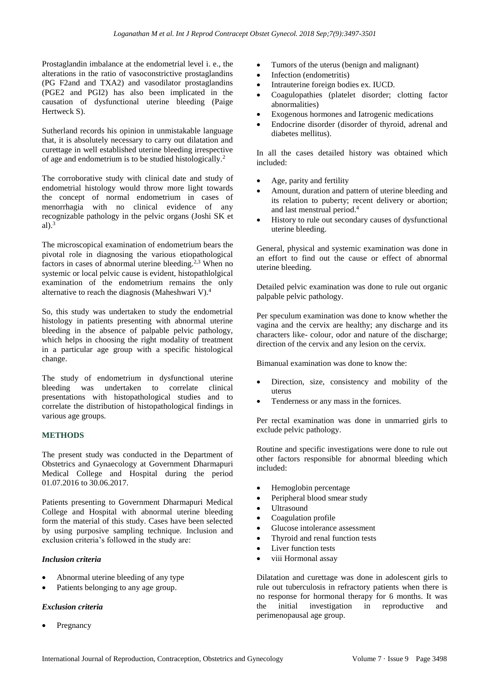Prostaglandin imbalance at the endometrial level i. e., the alterations in the ratio of vasoconstrictive prostaglandins (PG F2and and TXA2) and vasodilator prostaglandins (PGE2 and PGI2) has also been implicated in the causation of dysfunctional uterine bleeding (Paige Hertweck S).

Sutherland records his opinion in unmistakable language that, it is absolutely necessary to carry out dilatation and curettage in well established uterine bleeding irrespective of age and endometrium is to be studied histologically.<sup>2</sup>

The corroborative study with clinical date and study of endometrial histology would throw more light towards the concept of normal endometrium in cases of menorrhagia with no clinical evidence of any recognizable pathology in the pelvic organs (Joshi SK et al). $3$ 

The microscopical examination of endometrium bears the pivotal role in diagnosing the various etiopathological factors in cases of abnormal uterine bleeding.2,3 When no systemic or local pelvic cause is evident, histopathlolgical examination of the endometrium remains the only alternative to reach the diagnosis (Maheshwari V).<sup>4</sup>

So, this study was undertaken to study the endometrial histology in patients presenting with abnormal uterine bleeding in the absence of palpable pelvic pathology, which helps in choosing the right modality of treatment in a particular age group with a specific histological change.

The study of endometrium in dysfunctional uterine bleeding was undertaken to correlate clinical presentations with histopathological studies and to correlate the distribution of histopathological findings in various age groups.

# **METHODS**

The present study was conducted in the Department of Obstetrics and Gynaecology at Government Dharmapuri Medical College and Hospital during the period 01.07.2016 to 30.06.2017.

Patients presenting to Government Dharmapuri Medical College and Hospital with abnormal uterine bleeding form the material of this study. Cases have been selected by using purposive sampling technique. Inclusion and exclusion criteria's followed in the study are:

# *Inclusion criteria*

- Abnormal uterine bleeding of any type
- Patients belonging to any age group.

# *Exclusion criteria*

**Pregnancy** 

- Tumors of the uterus (benign and malignant)
- Infection (endometritis)
- Intrauterine foreign bodies ex. IUCD.
- Coagulopathies (platelet disorder; clotting factor abnormalities)
- Exogenous hormones and Iatrogenic medications
- Endocrine disorder (disorder of thyroid, adrenal and diabetes mellitus).

In all the cases detailed history was obtained which included:

- Age, parity and fertility
- Amount, duration and pattern of uterine bleeding and its relation to puberty; recent delivery or abortion; and last menstrual period.<sup>4</sup>
- History to rule out secondary causes of dysfunctional uterine bleeding.

General, physical and systemic examination was done in an effort to find out the cause or effect of abnormal uterine bleeding.

Detailed pelvic examination was done to rule out organic palpable pelvic pathology.

Per speculum examination was done to know whether the vagina and the cervix are healthy; any discharge and its characters like- colour, odor and nature of the discharge; direction of the cervix and any lesion on the cervix.

Bimanual examination was done to know the:

- Direction, size, consistency and mobility of the uterus
- Tenderness or any mass in the fornices.

Per rectal examination was done in unmarried girls to exclude pelvic pathology.

Routine and specific investigations were done to rule out other factors responsible for abnormal bleeding which included:

- Hemoglobin percentage
- Peripheral blood smear study
- Ultrasound
- Coagulation profile
- Glucose intolerance assessment
- Thyroid and renal function tests
- Liver function tests
- viii Hormonal assay

Dilatation and curettage was done in adolescent girls to rule out tuberculosis in refractory patients when there is no response for hormonal therapy for 6 months. It was the initial investigation in reproductive and perimenopausal age group.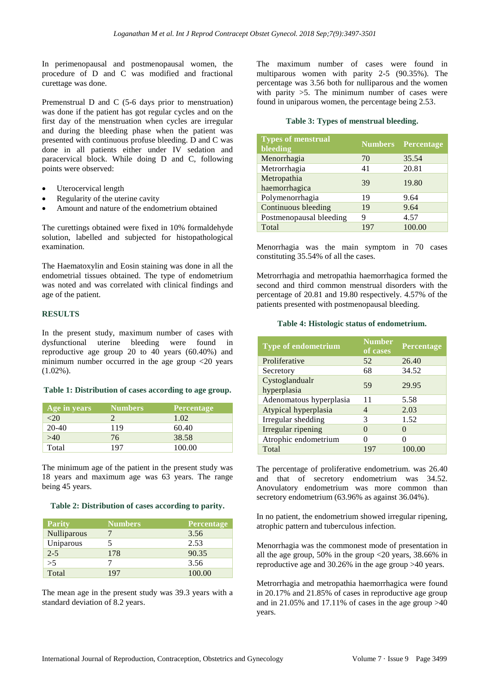In perimenopausal and postmenopausal women, the procedure of D and C was modified and fractional curettage was done.

Premenstrual D and C (5-6 days prior to menstruation) was done if the patient has got regular cycles and on the first day of the menstruation when cycles are irregular and during the bleeding phase when the patient was presented with continuous profuse bleeding. D and C was done in all patients either under IV sedation and paracervical block. While doing D and C, following points were observed:

- Uterocervical length
- Regularity of the uterine cavity
- Amount and nature of the endometrium obtained

The curettings obtained were fixed in 10% formaldehyde solution, labelled and subjected for histopathological examination.

The Haematoxylin and Eosin staining was done in all the endometrial tissues obtained. The type of endometrium was noted and was correlated with clinical findings and age of the patient.

#### **RESULTS**

In the present study, maximum number of cases with dysfunctional uterine bleeding were found in reproductive age group 20 to 40 years (60.40%) and minimum number occurred in the age group <20 years (1.02%).

#### **Table 1: Distribution of cases according to age group.**

| Age in years | <b>Numbers</b> | Percentage |
|--------------|----------------|------------|
| ${<}20$      |                | 1.02       |
| $20-40$      | 119            | 60.40      |
| >40          | 76             | 38.58      |
| Total        | 197            | 100.00     |

The minimum age of the patient in the present study was 18 years and maximum age was 63 years. The range being 45 years.

#### **Table 2: Distribution of cases according to parity.**

| <b>Parity</b>      | <b>Numbers</b> | <b>Percentage</b> |
|--------------------|----------------|-------------------|
| <b>Nulliparous</b> |                | 3.56              |
| Uniparous          |                | 2.53              |
| $2 - 5$            | 178            | 90.35             |
| >5                 |                | 3.56              |
| Total              | 197            | 100.00            |

The mean age in the present study was 39.3 years with a standard deviation of 8.2 years.

The maximum number of cases were found in multiparous women with parity 2-5 (90.35%). The percentage was 3.56 both for nulliparous and the women with parity  $>5$ . The minimum number of cases were found in uniparous women, the percentage being 2.53.

#### **Table 3: Types of menstrual bleeding.**

| <b>Types of menstrual</b><br>bleeding |     | <b>Numbers</b> Percentage |
|---------------------------------------|-----|---------------------------|
| Menorrhagia                           | 70  | 35.54                     |
| Metrorrhagia                          | 41  | 20.81                     |
| Metropathia<br>haemorrhagica          | 39  | 19.80                     |
| Polymenorrhagia                       | 19  | 9.64                      |
| Continuous bleeding                   | 19  | 9.64                      |
| Postmenopausal bleeding               | Q   | 4.57                      |
| Total                                 | 197 | 100.00                    |

Menorrhagia was the main symptom in 70 cases constituting 35.54% of all the cases.

Metrorrhagia and metropathia haemorrhagica formed the second and third common menstrual disorders with the percentage of 20.81 and 19.80 respectively. 4.57% of the patients presented with postmenopausal bleeding.

#### **Table 4: Histologic status of endometrium.**

| <b>Type of endometrium</b>    | <b>Number</b><br>of cases | Percentage    |
|-------------------------------|---------------------------|---------------|
| Proliferative                 | 52                        | 26.40         |
| Secretory                     | 68                        | 34.52         |
| Cystoglandualr<br>hyperplasia | 59                        | 29.95         |
| Adenomatous hyperplasia       | 11                        | 5.58          |
| Atypical hyperplasia          | 4                         | 2.03          |
| Irregular shedding            | 3                         | 1.52          |
| Irregular ripening            | 0                         | $\mathcal{O}$ |
| Atrophic endometrium          | 0                         |               |
| Total                         | 197                       | 100.00        |

The percentage of proliferative endometrium. was 26.40 and that of secretory endometrium was 34.52. Anovulatory endometrium was more common than secretory endometrium (63.96% as against 36.04%).

In no patient, the endometrium showed irregular ripening, atrophic pattern and tuberculous infection.

Menorrhagia was the commonest mode of presentation in all the age group, 50% in the group <20 years, 38.66% in reproductive age and 30.26% in the age group >40 years.

Metrorrhagia and metropathia haemorrhagica were found in 20.17% and 21.85% of cases in reproductive age group and in 21.05% and 17.11% of cases in the age group  $>40$ years.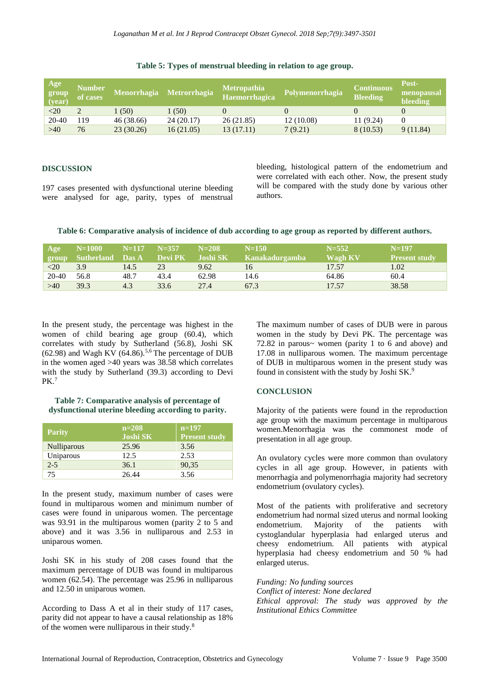| Age<br>group<br>(year) | <b>Number</b><br>of cases | <b>Menorrhagia</b> | Metrorrhagia | 'Metropathia<br>Haemorrhagica | Polymenorrhagia | <b>Continuous</b><br><b>Bleeding</b> | Post-<br>menopausal<br>bleeding |
|------------------------|---------------------------|--------------------|--------------|-------------------------------|-----------------|--------------------------------------|---------------------------------|
| $<$ 20                 |                           | (50)               | 1(50)        |                               |                 |                                      |                                 |
| $20-40$                | 19                        | 46 (38.66)         | 24(20.17)    | 26(21.85)                     | 12 (10.08)      | 11(9.24)                             |                                 |
| >40                    | 76                        | 23(30.26)          | 16(21.05)    | 13 (17.11)                    | 7(9.21)         | 8 (10.53)                            | 9(11.84)                        |

#### **Table 5: Types of menstrual bleeding in relation to age group.**

# **DISCUSSION**

197 cases presented with dysfunctional uterine bleeding were analysed for age, parity, types of menstrual bleeding, histological pattern of the endometrium and were correlated with each other. Now, the present study will be compared with the study done by various other authors.

#### **Table 6: Comparative analysis of incidence of dub according to age group as reported by different authors.**

| $\text{Age}$<br>group | $N=1000$<br><b>Sutherland</b> | $N=117$<br>Das A | $N = 357$<br>Devi PK | $N = 208$<br>Joshi SK | $N = 150$<br><b>Kanakadurgamba</b> | $N = 552$<br><b>Wagh KV</b> | $N=197$<br><b>Present study</b> |
|-----------------------|-------------------------------|------------------|----------------------|-----------------------|------------------------------------|-----------------------------|---------------------------------|
| $<$ 20                | 3.9                           | 14.5             | 23                   | 9.62                  | 16                                 | 17.57                       | 1.02                            |
| 20-40                 | 56.8                          | 48.7             | 43.4                 | 62.98                 | 14.6                               | 64.86                       | 60.4                            |
| $>40$                 | 39.3                          | 4.3              | 33.6                 | 27.4                  | 67.3                               | 17.57                       | 38.58                           |

In the present study, the percentage was highest in the women of child bearing age group (60.4), which correlates with study by Sutherland (56.8), Joshi SK  $(62.98)$  and Wagh KV  $(64.86)$ <sup>5,6</sup> The percentage of DUB in the women aged >40 years was 38.58 which correlates with the study by Sutherland (39.3) according to Devi PK. 7

# **Table 7: Comparative analysis of percentage of dysfunctional uterine bleeding according to parity.**

| <b>Parity</b>      | $n=208$<br><b>Joshi SK</b> | $n=197$<br><b>Present study</b> |
|--------------------|----------------------------|---------------------------------|
| <b>Nulliparous</b> | 25.96                      | 3.56                            |
| Uniparous          | 12.5                       | 2.53                            |
| $2 - 5$            | 36.1                       | 90,35                           |
|                    | 26.44                      | 3.56                            |

In the present study, maximum number of cases were found in multiparous women and minimum number of cases were found in uniparous women. The percentage was 93.91 in the multiparous women (parity 2 to 5 and above) and it was 3.56 in nulliparous and 2.53 in uniparous women.

Joshi SK in his study of 208 cases found that the maximum percentage of DUB was found in multiparous women (62.54). The percentage was 25.96 in nulliparous and 12.50 in uniparous women.

According to Dass A et al in their study of 117 cases, parity did not appear to have a causal relationship as 18% of the women were nulliparous in their study.<sup>8</sup>

The maximum number of cases of DUB were in parous women in the study by Devi PK. The percentage was 72.82 in parous~ women (parity 1 to 6 and above) and 17.08 in nulliparous women. The maximum percentage of DUB in multiparous women in the present study was found in consistent with the study by Joshi SK.<sup>9</sup>

# **CONCLUSION**

Majority of the patients were found in the reproduction age group with the maximum percentage in multiparous women.Menorrhagia was the commonest mode of presentation in all age group.

An ovulatory cycles were more common than ovulatory cycles in all age group. However, in patients with menorrhagia and polymenorrhagia majority had secretory endometrium (ovulatory cycles).

Most of the patients with proliferative and secretory endometrium had normal sized uterus and normal looking endometrium. Majority of the patients with cystoglandular hyperplasia had enlarged uterus and cheesy endometrium. All patients with atypical hyperplasia had cheesy endometrium and 50 % had enlarged uterus.

*Funding: No funding sources Conflict of interest: None declared Ethical approval: The study was approved by the Institutional Ethics Committee*